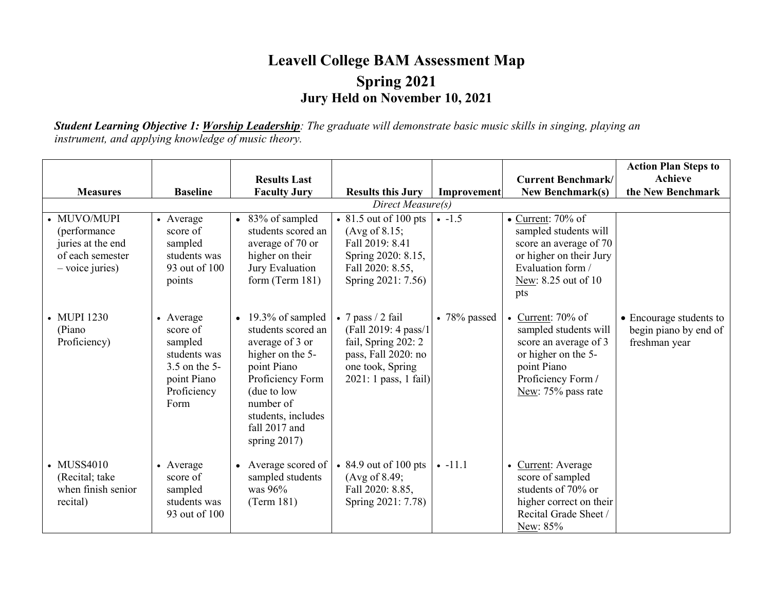## **Leavell College BAM Assessment Map Spring 2021 Jury Held on November 10, 2021**

*Student Learning Objective 1: Worship Leadership: The graduate will demonstrate basic music skills in singing, playing an instrument, and applying knowledge of music theory.*

|                                                                                           |                                                                                                         |                                                                                                                                                                                                                     |                                                                                                                                              |                      |                                                                                                                                                            | <b>Action Plan Steps to</b>                                       |
|-------------------------------------------------------------------------------------------|---------------------------------------------------------------------------------------------------------|---------------------------------------------------------------------------------------------------------------------------------------------------------------------------------------------------------------------|----------------------------------------------------------------------------------------------------------------------------------------------|----------------------|------------------------------------------------------------------------------------------------------------------------------------------------------------|-------------------------------------------------------------------|
|                                                                                           |                                                                                                         | <b>Results Last</b>                                                                                                                                                                                                 |                                                                                                                                              |                      | <b>Current Benchmark/</b>                                                                                                                                  | Achieve                                                           |
| <b>Measures</b>                                                                           | <b>Baseline</b>                                                                                         | <b>Faculty Jury</b>                                                                                                                                                                                                 | <b>Results this Jury</b>                                                                                                                     | Improvement          | <b>New Benchmark(s)</b>                                                                                                                                    | the New Benchmark                                                 |
|                                                                                           |                                                                                                         |                                                                                                                                                                                                                     | Direct Measure(s)                                                                                                                            |                      |                                                                                                                                                            |                                                                   |
| • MUVO/MUPI<br>(performance<br>juries at the end<br>of each semester<br>$-$ voice juries) | • Average<br>score of<br>sampled<br>students was<br>93 out of 100<br>points                             | 83% of sampled<br>$\bullet$<br>students scored an<br>average of 70 or<br>higher on their<br>Jury Evaluation<br>form $(Term 181)$                                                                                    | $\cdot$ 81.5 out of 100 pts<br>$(Avg \text{ of } 8.15;$<br>Fall 2019: 8.41<br>Spring 2020: 8.15,<br>Fall 2020: 8.55,<br>Spring 2021: 7.56)   | $-1.5$               | $\bullet$ Current: 70% of<br>sampled students will<br>score an average of 70<br>or higher on their Jury<br>Evaluation form /<br>New: 8.25 out of 10<br>pts |                                                                   |
| • MUPI 1230<br>(Piano<br>Proficiency)                                                     | • Average<br>score of<br>sampled<br>students was<br>3.5 on the 5-<br>point Piano<br>Proficiency<br>Form | 19.3% of sampled<br>$\bullet$<br>students scored an<br>average of 3 or<br>higher on the 5-<br>point Piano<br>Proficiency Form<br>(due to low<br>number of<br>students, includes<br>fall 2017 and<br>spring $2017$ ) | $\bullet$ 7 pass / 2 fail<br>(Fall 2019: 4 pass/1<br>fail, Spring 202: 2<br>pass, Fall 2020: no<br>one took, Spring<br>2021: 1 pass, 1 fail) | $\bullet$ 78% passed | • Current: $70\%$ of<br>sampled students will<br>score an average of 3<br>or higher on the 5-<br>point Piano<br>Proficiency Form /<br>New: 75% pass rate   | • Encourage students to<br>begin piano by end of<br>freshman year |
| • MUSS4010<br>(Recital; take<br>when finish senior<br>recital)                            | • Average<br>score of<br>sampled<br>students was<br>93 out of 100                                       | Average scored of<br>$\bullet$<br>sampled students<br>was $96%$<br>(Term 181)                                                                                                                                       | $\bullet$ 84.9 out of 100 pts<br>(Avg of 8.49;<br>Fall 2020: 8.85,<br>Spring 2021: 7.78)                                                     | $-11.1$              | • Current: Average<br>score of sampled<br>students of 70% or<br>higher correct on their<br>Recital Grade Sheet /<br>New: 85%                               |                                                                   |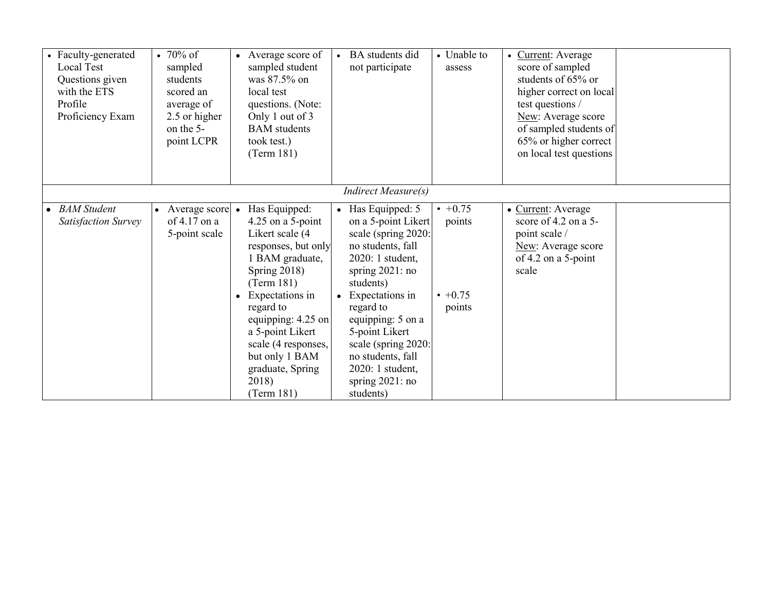| • Faculty-generated<br>Local Test<br>Questions given<br>with the ETS<br>Profile<br>Proficiency Exam | $\cdot 70\%$ of<br>sampled<br>students<br>scored an<br>average of<br>2.5 or higher<br>on the 5-<br>point LCPR | • Average score of<br>sampled student<br>was 87.5% on<br>local test<br>questions. (Note:<br>Only 1 out of 3<br><b>BAM</b> students<br>took test.)<br>(Term 181)                                                                                                                                                            | BA students did<br>not participate                                                                                                                                                                                                                                                                                            | • Unable to<br>assess                        | • Current: Average<br>score of sampled<br>students of 65% or<br>higher correct on local<br>test questions /<br>New: Average score<br>of sampled students of<br>65% or higher correct<br>on local test questions |  |
|-----------------------------------------------------------------------------------------------------|---------------------------------------------------------------------------------------------------------------|----------------------------------------------------------------------------------------------------------------------------------------------------------------------------------------------------------------------------------------------------------------------------------------------------------------------------|-------------------------------------------------------------------------------------------------------------------------------------------------------------------------------------------------------------------------------------------------------------------------------------------------------------------------------|----------------------------------------------|-----------------------------------------------------------------------------------------------------------------------------------------------------------------------------------------------------------------|--|
|                                                                                                     |                                                                                                               |                                                                                                                                                                                                                                                                                                                            | <b>Indirect Measure(s)</b>                                                                                                                                                                                                                                                                                                    |                                              |                                                                                                                                                                                                                 |  |
| • BAM Student<br><b>Satisfaction Survey</b>                                                         | Average score<br>of $4.17$ on a<br>5-point scale                                                              | Has Equipped:<br>$\bullet$<br>$4.25$ on a 5-point<br>Likert scale (4<br>responses, but only<br>1 BAM graduate,<br>Spring $2018$ )<br>(Term 181)<br>Expectations in<br>$\bullet$<br>regard to<br>equipping: 4.25 on<br>a 5-point Likert<br>scale (4 responses,<br>but only 1 BAM<br>graduate, Spring<br>2018)<br>(Term 181) | Has Equipped: 5<br>on a 5-point Likert<br>scale (spring 2020:<br>no students, fall<br>2020: 1 student,<br>spring $2021:no$<br>students)<br>Expectations in<br>$\bullet$<br>regard to<br>equipping: 5 on a<br>5-point Likert<br>scale (spring 2020:<br>no students, fall<br>2020: 1 student,<br>spring $2021:$ no<br>students) | $+0.75$<br>points<br>$\cdot$ +0.75<br>points | • Current: Average<br>score of $4.2$ on a 5-<br>point scale /<br>New: Average score<br>of 4.2 on a 5-point<br>scale                                                                                             |  |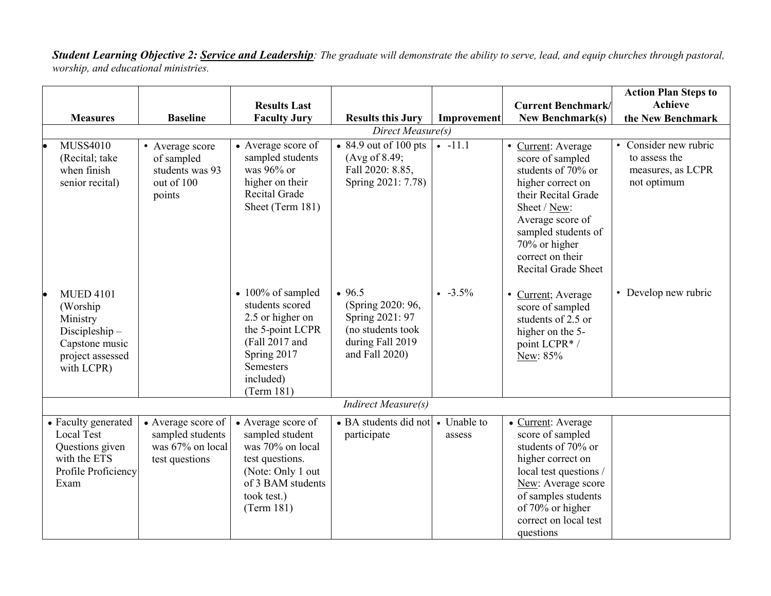*Student Learning Objective 2: Service and Leadership: The graduate will demonstrate the ability to serve, lead, and equip churches through pastoral, worship, and educational ministries.*

|                                                                                                                |                                                                              |                                                                                                                                                                      |                                                                                                           |                       |                                                                                                                                                                                                                                 | <b>Action Plan Steps to</b>                                                |  |  |
|----------------------------------------------------------------------------------------------------------------|------------------------------------------------------------------------------|----------------------------------------------------------------------------------------------------------------------------------------------------------------------|-----------------------------------------------------------------------------------------------------------|-----------------------|---------------------------------------------------------------------------------------------------------------------------------------------------------------------------------------------------------------------------------|----------------------------------------------------------------------------|--|--|
|                                                                                                                |                                                                              | <b>Results Last</b>                                                                                                                                                  |                                                                                                           |                       | <b>Current Benchmark/</b>                                                                                                                                                                                                       | <b>Achieve</b>                                                             |  |  |
| <b>Measures</b>                                                                                                | <b>Baseline</b>                                                              | <b>Faculty Jury</b>                                                                                                                                                  | <b>Results this Jury</b>                                                                                  | Improvement           | <b>New Benchmark(s)</b>                                                                                                                                                                                                         | the New Benchmark                                                          |  |  |
| Direct Measure(s)                                                                                              |                                                                              |                                                                                                                                                                      |                                                                                                           |                       |                                                                                                                                                                                                                                 |                                                                            |  |  |
| <b>MUSS4010</b><br>(Recital; take<br>when finish<br>senior recital)                                            | • Average score<br>of sampled<br>students was 93<br>out of 100<br>points     | • Average score of<br>sampled students<br>was $96\%$ or<br>higher on their<br>Recital Grade<br>Sheet (Term 181)                                                      | $\bullet$ 84.9 out of 100 pts<br>(Avg of 8.49;<br>Fall 2020: 8.85,<br>Spring 2021: 7.78)                  | $-11.1$               | • Current: Average<br>score of sampled<br>students of 70% or<br>higher correct on<br>their Recital Grade<br>Sheet / New:<br>Average score of<br>sampled students of<br>70% or higher<br>correct on their<br>Recital Grade Sheet | • Consider new rubric<br>to assess the<br>measures, as LCPR<br>not optimum |  |  |
| <b>MUED 4101</b><br>(Worship)<br>Ministry<br>Discipleship-<br>Capstone music<br>project assessed<br>with LCPR) |                                                                              | $\bullet$ 100% of sampled<br>students scored<br>2.5 or higher on<br>the 5-point LCPR<br>(Fall 2017 and<br>Spring 2017<br><b>Semesters</b><br>included)<br>(Term 181) | • 96.5<br>(Spring 2020: 96,<br>Spring 2021: 97<br>(no students took<br>during Fall 2019<br>and Fall 2020) | $-3.5\%$              | • Current; Average<br>score of sampled<br>students of 2.5 or<br>higher on the 5-<br>point LCPR*/<br>New: 85%                                                                                                                    | • Develop new rubric                                                       |  |  |
|                                                                                                                |                                                                              |                                                                                                                                                                      | <b>Indirect Measure(s)</b>                                                                                |                       |                                                                                                                                                                                                                                 |                                                                            |  |  |
| • Faculty generated<br><b>Local Test</b><br>Questions given<br>with the ETS<br>Profile Proficiency<br>Exam     | • Average score of<br>sampled students<br>was 67% on local<br>test questions | • Average score of<br>sampled student<br>was 70% on local<br>test questions.<br>(Note: Only 1 out<br>of 3 BAM students<br>took test.)<br>(Term 181)                  | • BA students did not<br>participate                                                                      | • Unable to<br>assess | • Current: Average<br>score of sampled<br>students of 70% or<br>higher correct on<br>local test questions /<br>New: Average score<br>of samples students<br>of 70% or higher<br>correct on local test<br>questions              |                                                                            |  |  |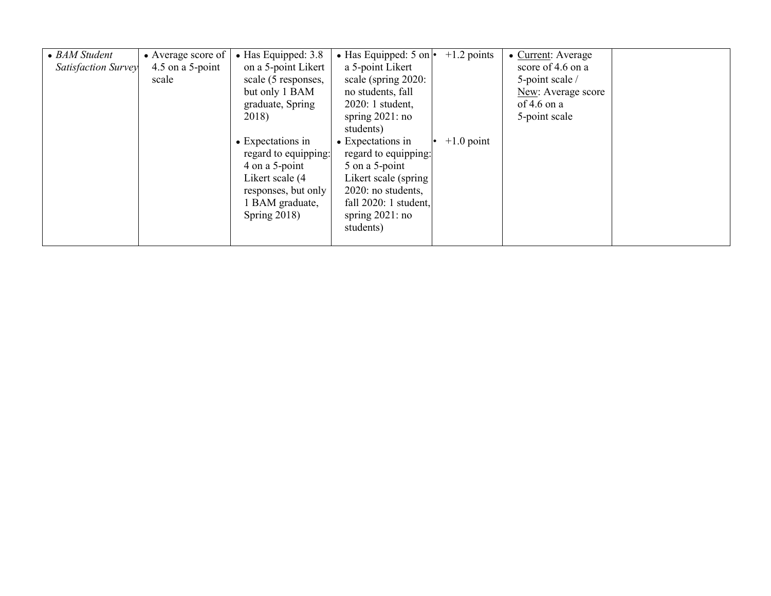| • BAM Student              | • Average score of | $\bullet$ Has Equipped: 3.8 | $\bullet$ Has Equipped: 5 on $\bullet$ | $+1.2$ points | • Current: Average |  |
|----------------------------|--------------------|-----------------------------|----------------------------------------|---------------|--------------------|--|
| <b>Satisfaction Survey</b> | 4.5 on a 5-point   | on a 5-point Likert         | a 5-point Likert                       |               | score of 4.6 on a  |  |
|                            | scale              | scale (5 responses,         | scale (spring 2020:                    |               | 5-point scale /    |  |
|                            |                    | but only 1 BAM              | no students, fall                      |               | New: Average score |  |
|                            |                    | graduate, Spring            | 2020: 1 student,                       |               | of 4.6 on a        |  |
|                            |                    | 2018)                       | spring $2021:$ no                      |               | 5-point scale      |  |
|                            |                    |                             | students)                              |               |                    |  |
|                            |                    | • Expectations in           | • Expectations in                      | $+1.0$ point  |                    |  |
|                            |                    | regard to equipping:        | regard to equipping:                   |               |                    |  |
|                            |                    | 4 on a 5-point              | 5 on a 5-point                         |               |                    |  |
|                            |                    | Likert scale (4             | Likert scale (spring                   |               |                    |  |
|                            |                    | responses, but only         | 2020: no students,                     |               |                    |  |
|                            |                    | 1 BAM graduate,             | fall $2020:1$ student,                 |               |                    |  |
|                            |                    | Spring $2018$ )             | spring $2021:no$                       |               |                    |  |
|                            |                    |                             | students)                              |               |                    |  |
|                            |                    |                             |                                        |               |                    |  |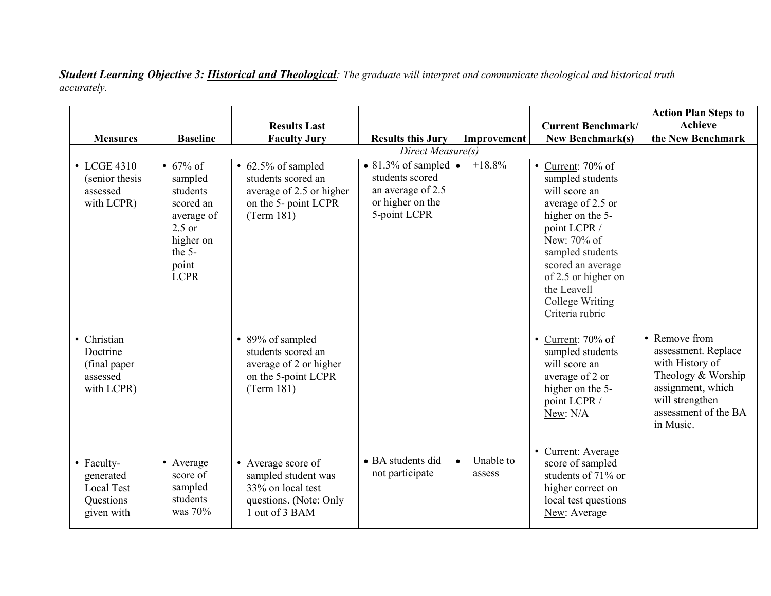*Student Learning Objective 3: Historical and Theological: The graduate will interpret and communicate theological and historical truth accurately.*

|                                                                    |                                                                                                                            |                                                                                                            |                                                                                                                  |                     |                                                                                                                                                                                                                                                        | <b>Action Plan Steps to</b>                                                                                                                                |
|--------------------------------------------------------------------|----------------------------------------------------------------------------------------------------------------------------|------------------------------------------------------------------------------------------------------------|------------------------------------------------------------------------------------------------------------------|---------------------|--------------------------------------------------------------------------------------------------------------------------------------------------------------------------------------------------------------------------------------------------------|------------------------------------------------------------------------------------------------------------------------------------------------------------|
|                                                                    |                                                                                                                            | <b>Results Last</b>                                                                                        |                                                                                                                  |                     | <b>Current Benchmark</b>                                                                                                                                                                                                                               | <b>Achieve</b>                                                                                                                                             |
| <b>Measures</b>                                                    | <b>Baseline</b>                                                                                                            | <b>Faculty Jury</b>                                                                                        | <b>Results this Jury</b>                                                                                         | Improvement         | <b>New Benchmark(s)</b>                                                                                                                                                                                                                                | the New Benchmark                                                                                                                                          |
|                                                                    |                                                                                                                            |                                                                                                            | Direct Measure(s)                                                                                                |                     |                                                                                                                                                                                                                                                        |                                                                                                                                                            |
| • LCGE 4310<br>(senior thesis)<br>assessed<br>with LCPR)           | • $67\%$ of<br>sampled<br>students<br>scored an<br>average of<br>$2.5$ or<br>higher on<br>the $5-$<br>point<br><b>LCPR</b> | • 62.5% of sampled<br>students scored an<br>average of 2.5 or higher<br>on the 5- point LCPR<br>(Term 181) | $\bullet$ 81.3% of sampled $\bullet$<br>students scored<br>an average of 2.5<br>or higher on the<br>5-point LCPR | $+18.8%$            | • Current: $70\%$ of<br>sampled students<br>will score an<br>average of 2.5 or<br>higher on the 5-<br>point LCPR /<br>New: 70% of<br>sampled students<br>scored an average<br>of 2.5 or higher on<br>the Leavell<br>College Writing<br>Criteria rubric |                                                                                                                                                            |
| • Christian<br>Doctrine<br>(final paper)<br>assessed<br>with LCPR) |                                                                                                                            | • 89% of sampled<br>students scored an<br>average of 2 or higher<br>on the 5-point LCPR<br>(Term 181)      |                                                                                                                  |                     | • Current: $70\%$ of<br>sampled students<br>will score an<br>average of 2 or<br>higher on the 5-<br>point LCPR /<br>New: N/A                                                                                                                           | • Remove from<br>assessment. Replace<br>with History of<br>Theology & Worship<br>assignment, which<br>will strengthen<br>assessment of the BA<br>in Music. |
| • Faculty-<br>generated<br>Local Test<br>Questions<br>given with   | • Average<br>score of<br>sampled<br>students<br>was 70%                                                                    | • Average score of<br>sampled student was<br>33% on local test<br>questions. (Note: Only<br>1 out of 3 BAM | • BA students did<br>not participate                                                                             | Unable to<br>assess | • Current: Average<br>score of sampled<br>students of 71% or<br>higher correct on<br>local test questions<br>New: Average                                                                                                                              |                                                                                                                                                            |